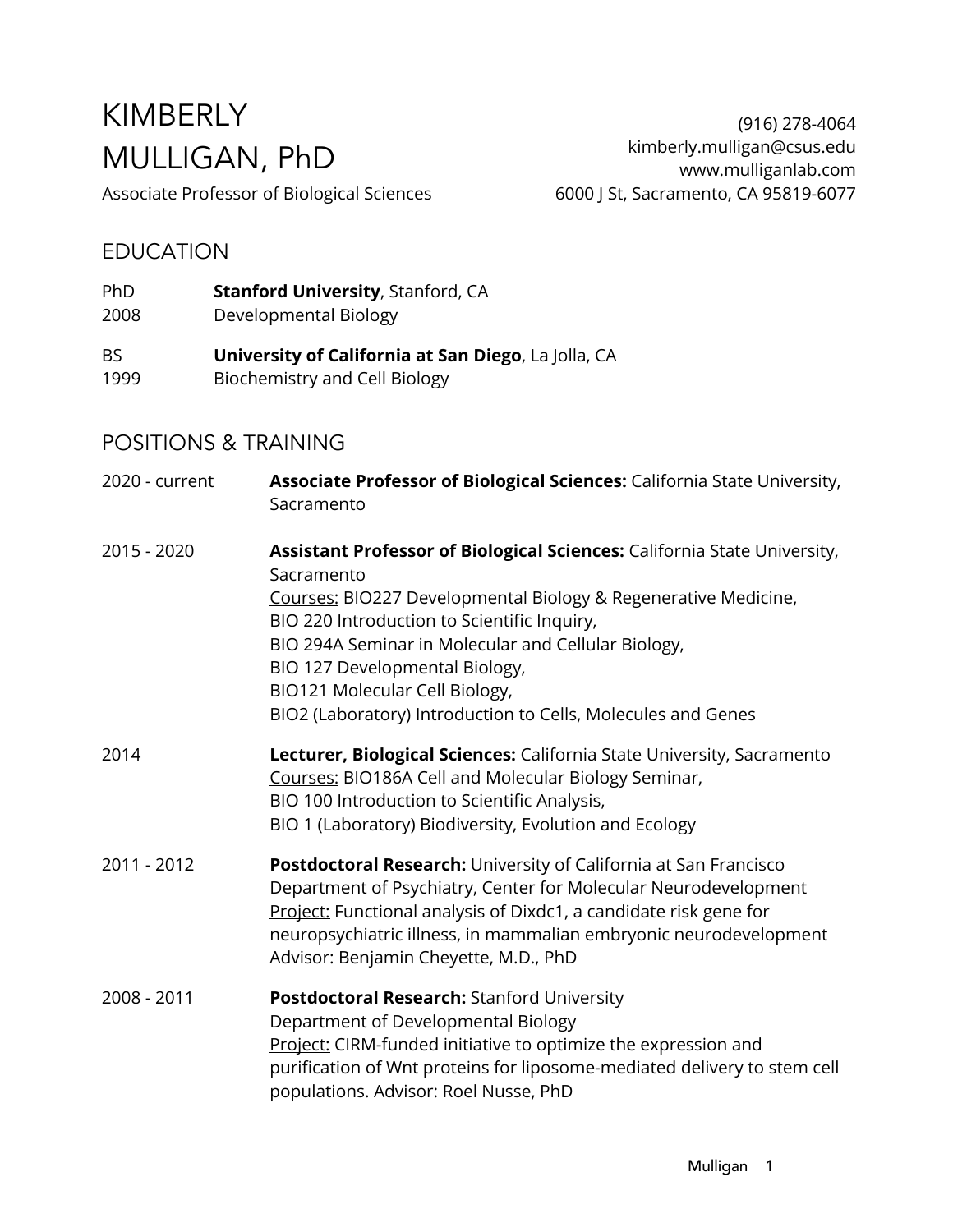# KIMBERLY MULLIGAN, PhD

Associate Professor of Biological Sciences

#### EDUCATION

- PhD **Stanford University**, Stanford, CA
- 2008 Developmental Biology
- BS **University of California at San Diego**, La Jolla, CA 1999 Biochemistry and Cell Biology

## POSITIONS & TRAINING

| 2020 - current | <b>Associate Professor of Biological Sciences:</b> California State University,<br>Sacramento                                                                                                                                                                                                                                                                                                      |
|----------------|----------------------------------------------------------------------------------------------------------------------------------------------------------------------------------------------------------------------------------------------------------------------------------------------------------------------------------------------------------------------------------------------------|
| 2015 - 2020    | Assistant Professor of Biological Sciences: California State University,<br>Sacramento<br>Courses: BIO227 Developmental Biology & Regenerative Medicine,<br>BIO 220 Introduction to Scientific Inquiry,<br>BIO 294A Seminar in Molecular and Cellular Biology,<br>BIO 127 Developmental Biology,<br>BIO121 Molecular Cell Biology,<br>BIO2 (Laboratory) Introduction to Cells, Molecules and Genes |
| 2014           | Lecturer, Biological Sciences: California State University, Sacramento<br>Courses: BIO186A Cell and Molecular Biology Seminar,<br>BIO 100 Introduction to Scientific Analysis,<br>BIO 1 (Laboratory) Biodiversity, Evolution and Ecology                                                                                                                                                           |
| 2011 - 2012    | Postdoctoral Research: University of California at San Francisco<br>Department of Psychiatry, Center for Molecular Neurodevelopment<br>Project: Functional analysis of Dixdc1, a candidate risk gene for<br>neuropsychiatric illness, in mammalian embryonic neurodevelopment<br>Advisor: Benjamin Cheyette, M.D., PhD                                                                             |
| 2008 - 2011    | <b>Postdoctoral Research: Stanford University</b><br>Department of Developmental Biology<br>Project: CIRM-funded initiative to optimize the expression and<br>purification of Wnt proteins for liposome-mediated delivery to stem cell<br>populations. Advisor: Roel Nusse, PhD                                                                                                                    |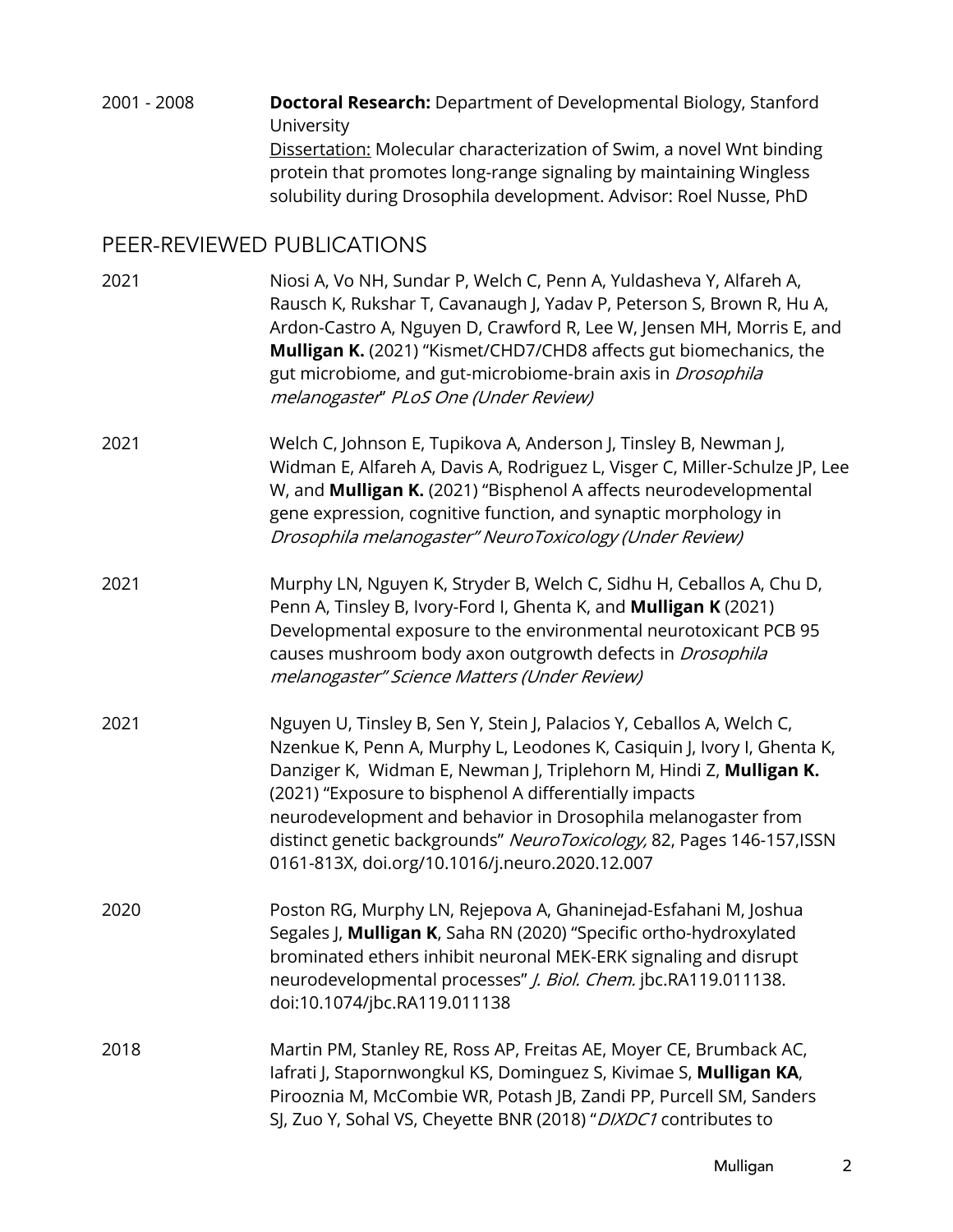| 2001 - 2008 | <b>Doctoral Research:</b> Department of Developmental Biology, Stanford |
|-------------|-------------------------------------------------------------------------|
|             | University                                                              |
|             | Dissertation: Molecular characterization of Swim, a novel Wnt binding   |
|             | protein that promotes long-range signaling by maintaining Wingless      |
|             | solubility during Drosophila development. Advisor: Roel Nusse, PhD      |

# PEER-REVIEWED PUBLICATIONS

| 2021 | Niosi A, Vo NH, Sundar P, Welch C, Penn A, Yuldasheva Y, Alfareh A,<br>Rausch K, Rukshar T, Cavanaugh J, Yadav P, Peterson S, Brown R, Hu A,<br>Ardon-Castro A, Nguyen D, Crawford R, Lee W, Jensen MH, Morris E, and<br>Mulligan K. (2021) "Kismet/CHD7/CHD8 affects gut biomechanics, the<br>gut microbiome, and gut-microbiome-brain axis in <i>Drosophila</i><br>melanogaster" PLoS One (Under Review)                                                                    |
|------|-------------------------------------------------------------------------------------------------------------------------------------------------------------------------------------------------------------------------------------------------------------------------------------------------------------------------------------------------------------------------------------------------------------------------------------------------------------------------------|
| 2021 | Welch C, Johnson E, Tupikova A, Anderson J, Tinsley B, Newman J,<br>Widman E, Alfareh A, Davis A, Rodriguez L, Visger C, Miller-Schulze JP, Lee<br>W, and Mulligan K. (2021) "Bisphenol A affects neurodevelopmental<br>gene expression, cognitive function, and synaptic morphology in<br>Drosophila melanogaster" NeuroToxicology (Under Review)                                                                                                                            |
| 2021 | Murphy LN, Nguyen K, Stryder B, Welch C, Sidhu H, Ceballos A, Chu D,<br>Penn A, Tinsley B, Ivory-Ford I, Ghenta K, and Mulligan K (2021)<br>Developmental exposure to the environmental neurotoxicant PCB 95<br>causes mushroom body axon outgrowth defects in <i>Drosophila</i><br>melanogaster" Science Matters (Under Review)                                                                                                                                              |
| 2021 | Nguyen U, Tinsley B, Sen Y, Stein J, Palacios Y, Ceballos A, Welch C,<br>Nzenkue K, Penn A, Murphy L, Leodones K, Casiquin J, Ivory I, Ghenta K,<br>Danziger K, Widman E, Newman J, Triplehorn M, Hindi Z, Mulligan K.<br>(2021) "Exposure to bisphenol A differentially impacts<br>neurodevelopment and behavior in Drosophila melanogaster from<br>distinct genetic backgrounds" NeuroToxicology, 82, Pages 146-157, ISSN<br>0161-813X, doi.org/10.1016/j.neuro.2020.12.007 |
| 2020 | Poston RG, Murphy LN, Rejepova A, Ghaninejad-Esfahani M, Joshua<br>Segales J, Mulligan K, Saha RN (2020) "Specific ortho-hydroxylated<br>brominated ethers inhibit neuronal MEK-ERK signaling and disrupt<br>neurodevelopmental processes" J. Biol. Chem. jbc.RA119.011138.<br>doi:10.1074/jbc.RA119.011138                                                                                                                                                                   |
| 2018 | Martin PM, Stanley RE, Ross AP, Freitas AE, Moyer CE, Brumback AC,<br>lafrati J, Stapornwongkul KS, Dominguez S, Kivimae S, Mulligan KA,<br>Pirooznia M, McCombie WR, Potash JB, Zandi PP, Purcell SM, Sanders<br>SJ, Zuo Y, Sohal VS, Cheyette BNR (2018) "DIXDC1 contributes to                                                                                                                                                                                             |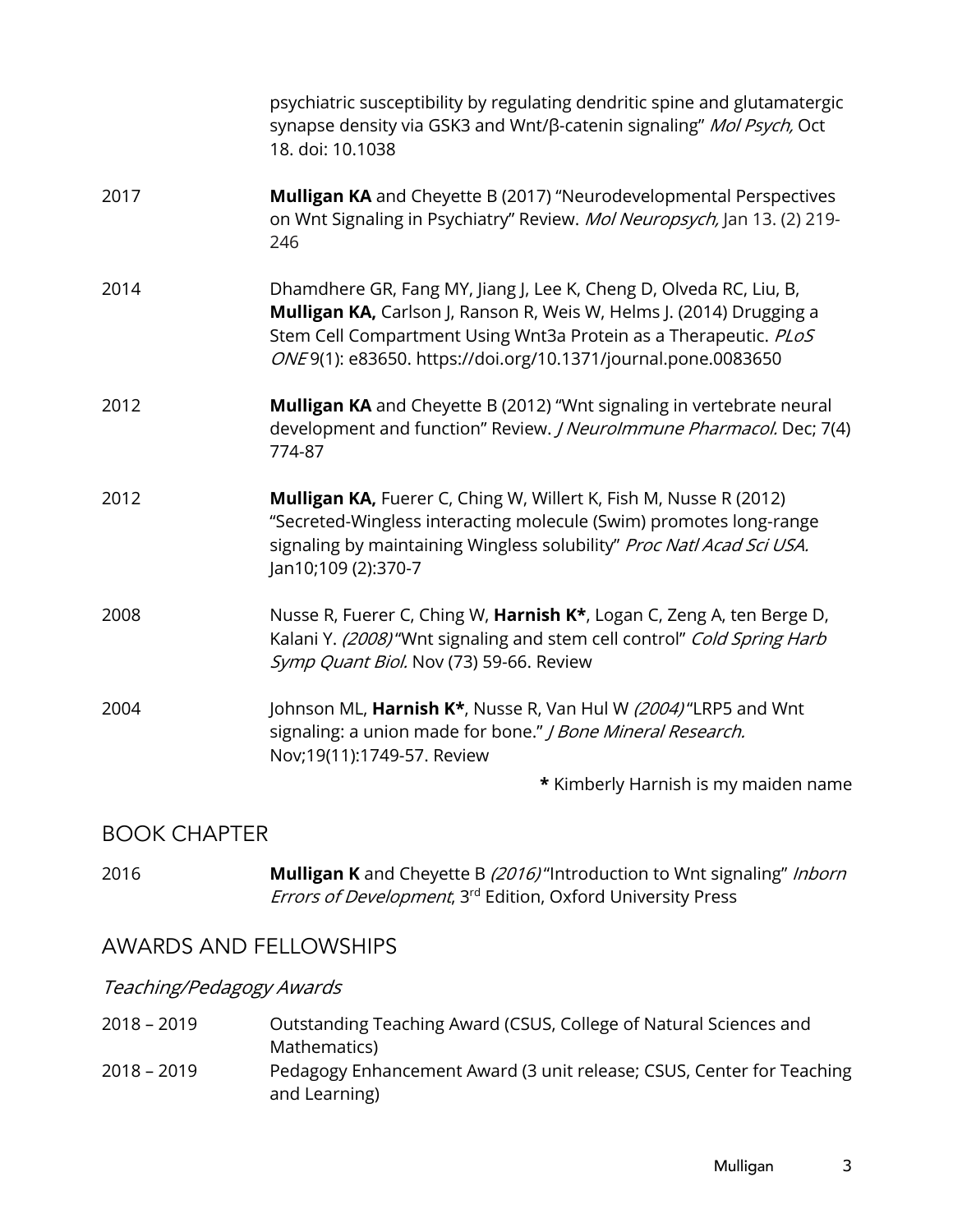|      | psychiatric susceptibility by regulating dendritic spine and glutamatergic<br>synapse density via GSK3 and Wnt/β-catenin signaling" Mol Psych, Oct<br>18. doi: 10.1038                                                                                                          |
|------|---------------------------------------------------------------------------------------------------------------------------------------------------------------------------------------------------------------------------------------------------------------------------------|
| 2017 | Mulligan KA and Cheyette B (2017) "Neurodevelopmental Perspectives<br>on Wnt Signaling in Psychiatry" Review. Mol Neuropsych, Jan 13. (2) 219-<br>246                                                                                                                           |
| 2014 | Dhamdhere GR, Fang MY, Jiang J, Lee K, Cheng D, Olveda RC, Liu, B,<br>Mulligan KA, Carlson J, Ranson R, Weis W, Helms J. (2014) Drugging a<br>Stem Cell Compartment Using Wnt3a Protein as a Therapeutic. PLoS<br>ONE9(1): e83650. https://doi.org/10.1371/journal.pone.0083650 |
| 2012 | Mulligan KA and Cheyette B (2012) "Wnt signaling in vertebrate neural<br>development and function" Review. <i>J Neurolmmune Pharmacol.</i> Dec; 7(4)<br>774-87                                                                                                                  |
| 2012 | Mulligan KA, Fuerer C, Ching W, Willert K, Fish M, Nusse R (2012)<br>"Secreted-Wingless interacting molecule (Swim) promotes long-range<br>signaling by maintaining Wingless solubility" Proc Natl Acad Sci USA.<br>Jan10;109 (2):370-7                                         |
| 2008 | Nusse R, Fuerer C, Ching W, Harnish K*, Logan C, Zeng A, ten Berge D,<br>Kalani Y. (2008) "Wnt signaling and stem cell control" Cold Spring Harb<br>Symp Quant Biol. Nov (73) 59-66. Review                                                                                     |
| 2004 | Johnson ML, Harnish K*, Nusse R, Van Hul W (2004)"LRP5 and Wnt<br>signaling: a union made for bone." J Bone Mineral Research.<br>Nov;19(11):1749-57. Review                                                                                                                     |
|      | * Kimberly Harnish is my maiden name                                                                                                                                                                                                                                            |

## BOOK CHAPTER

| 2016 | <b>Mulligan K</b> and Cheyette B (2016) "Introduction to Wnt signaling" Inborn  |
|------|---------------------------------------------------------------------------------|
|      | <i>Errors of Development</i> , 3 <sup>rd</sup> Edition, Oxford University Press |

### AWARDS AND FELLOWSHIPS

# Teaching/Pedagogy Awards

| 2018 - 2019 | Outstanding Teaching Award (CSUS, College of Natural Sciences and                      |
|-------------|----------------------------------------------------------------------------------------|
|             | Mathematics)                                                                           |
| 2018 – 2019 | Pedagogy Enhancement Award (3 unit release; CSUS, Center for Teaching<br>and Learning) |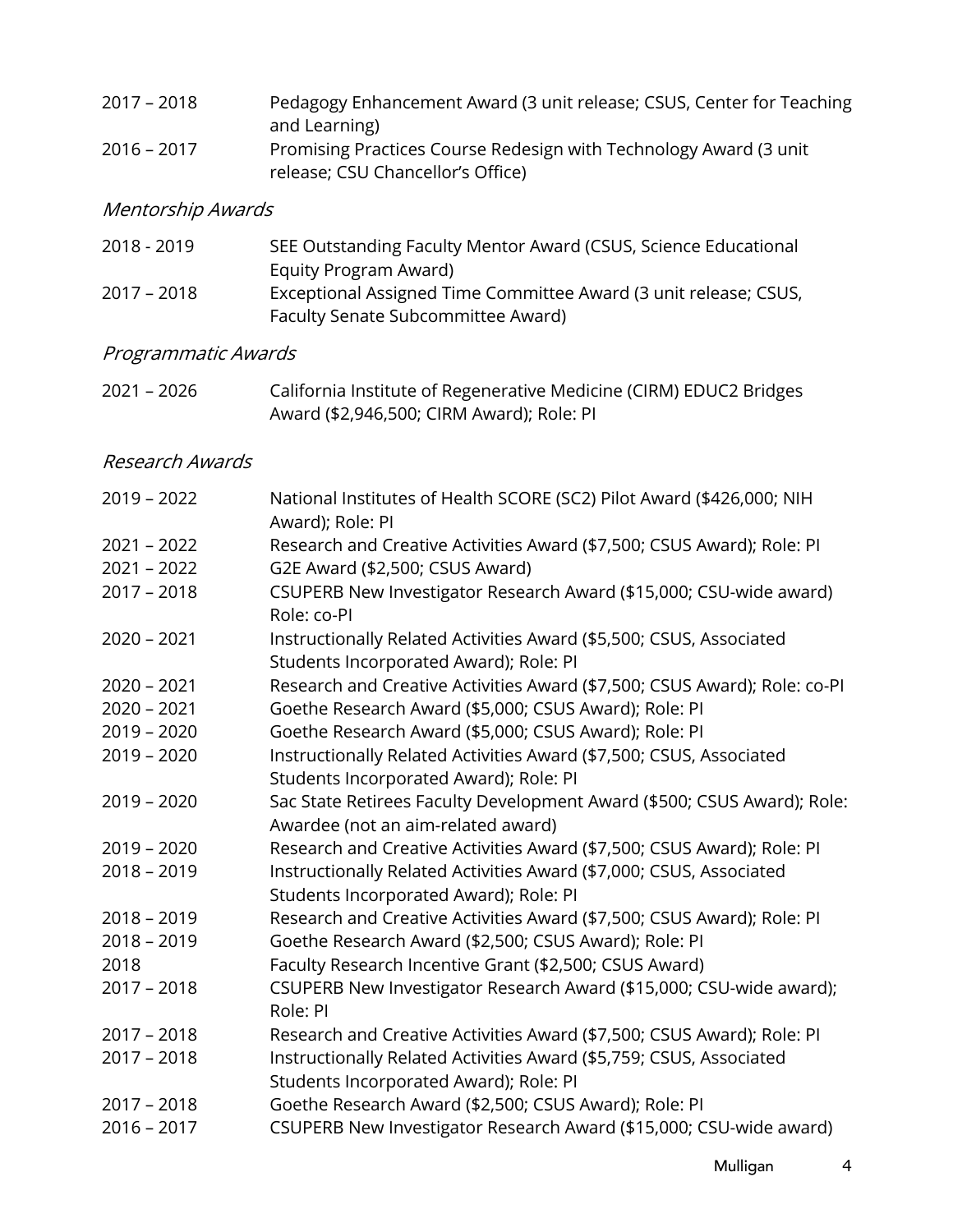| $2017 - 2018$ | Pedagogy Enhancement Award (3 unit release; CSUS, Center for Teaching |
|---------------|-----------------------------------------------------------------------|
|               | and Learning)                                                         |
| $2016 - 2017$ | Promising Practices Course Redesign with Technology Award (3 unit)    |
|               | release; CSU Chancellor's Office)                                     |

# Mentorship Awards

| 2018 - 2019   | SEE Outstanding Faculty Mentor Award (CSUS, Science Educational  |
|---------------|------------------------------------------------------------------|
|               | Equity Program Award)                                            |
| $2017 - 2018$ | Exceptional Assigned Time Committee Award (3 unit release; CSUS, |
|               | Faculty Senate Subcommittee Award)                               |

# Programmatic Awards

| 2021 - 2026 | California Institute of Regenerative Medicine (CIRM) EDUC2 Bridges |
|-------------|--------------------------------------------------------------------|
|             | Award (\$2,946,500; CIRM Award); Role: PI                          |

#### Research Awards

| National Institutes of Health SCORE (SC2) Pilot Award (\$426,000; NIH<br>Award); Role: PI                     |
|---------------------------------------------------------------------------------------------------------------|
| Research and Creative Activities Award (\$7,500; CSUS Award); Role: PI                                        |
| G2E Award (\$2,500; CSUS Award)                                                                               |
| CSUPERB New Investigator Research Award (\$15,000; CSU-wide award)<br>Role: co-PI                             |
| Instructionally Related Activities Award (\$5,500; CSUS, Associated<br>Students Incorporated Award); Role: PI |
| Research and Creative Activities Award (\$7,500; CSUS Award); Role: co-PI                                     |
| Goethe Research Award (\$5,000; CSUS Award); Role: PI                                                         |
| Goethe Research Award (\$5,000; CSUS Award); Role: PI                                                         |
| Instructionally Related Activities Award (\$7,500; CSUS, Associated                                           |
| Students Incorporated Award); Role: PI                                                                        |
| Sac State Retirees Faculty Development Award (\$500; CSUS Award); Role:                                       |
| Awardee (not an aim-related award)                                                                            |
| Research and Creative Activities Award (\$7,500; CSUS Award); Role: PI                                        |
| Instructionally Related Activities Award (\$7,000; CSUS, Associated<br>Students Incorporated Award); Role: PI |
| Research and Creative Activities Award (\$7,500; CSUS Award); Role: PI                                        |
| Goethe Research Award (\$2,500; CSUS Award); Role: PI                                                         |
| Faculty Research Incentive Grant (\$2,500; CSUS Award)                                                        |
| CSUPERB New Investigator Research Award (\$15,000; CSU-wide award);<br>Role: PI                               |
| Research and Creative Activities Award (\$7,500; CSUS Award); Role: PI                                        |
| Instructionally Related Activities Award (\$5,759; CSUS, Associated<br>Students Incorporated Award); Role: PI |
| Goethe Research Award (\$2,500; CSUS Award); Role: PI                                                         |
| CSUPERB New Investigator Research Award (\$15,000; CSU-wide award)                                            |
|                                                                                                               |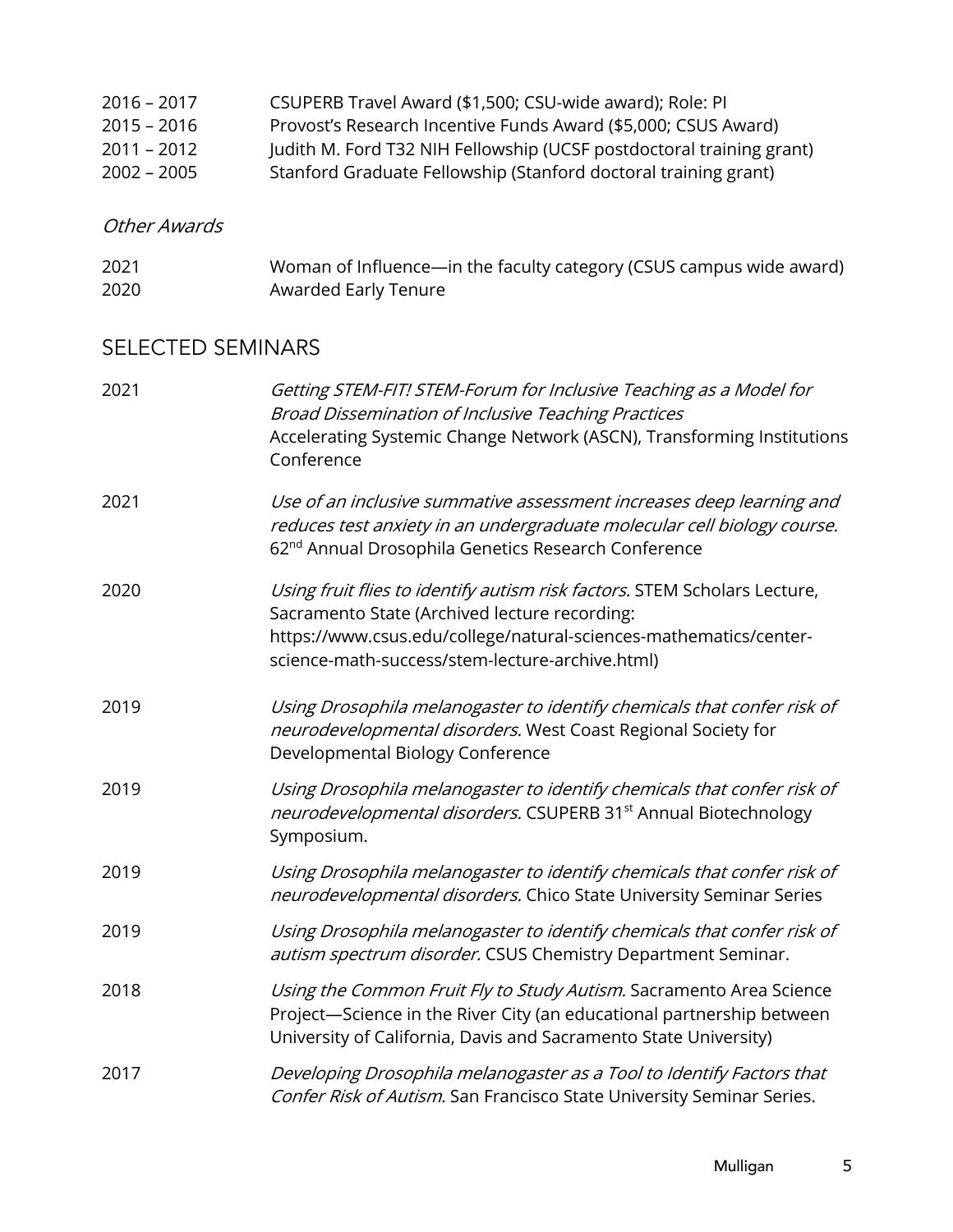| Provost's Research Incentive Funds Award (\$5,000; CSUS Award)       |
|----------------------------------------------------------------------|
| Judith M. Ford T32 NIH Fellowship (UCSF postdoctoral training grant) |
| Stanford Graduate Fellowship (Stanford doctoral training grant)      |
|                                                                      |

### Other Awards

| 2021 | Woman of Influence—in the faculty category (CSUS campus wide award) |
|------|---------------------------------------------------------------------|
| 2020 | Awarded Early Tenure                                                |

# SELECTED SEMINARS

| 2021 | Getting STEM-FIT! STEM-Forum for Inclusive Teaching as a Model for<br><b>Broad Dissemination of Inclusive Teaching Practices</b><br>Accelerating Systemic Change Network (ASCN), Transforming Institutions<br>Conference                           |
|------|----------------------------------------------------------------------------------------------------------------------------------------------------------------------------------------------------------------------------------------------------|
| 2021 | Use of an inclusive summative assessment increases deep learning and<br>reduces test anxiety in an undergraduate molecular cell biology course.<br>62 <sup>nd</sup> Annual Drosophila Genetics Research Conference                                 |
| 2020 | Using fruit flies to identify autism risk factors. STEM Scholars Lecture,<br>Sacramento State (Archived lecture recording:<br>https://www.csus.edu/college/natural-sciences-mathematics/center-<br>science-math-success/stem-lecture-archive.html) |
| 2019 | Using Drosophila melanogaster to identify chemicals that confer risk of<br>neurodevelopmental disorders. West Coast Regional Society for<br>Developmental Biology Conference                                                                       |
| 2019 | Using Drosophila melanogaster to identify chemicals that confer risk of<br>neurodevelopmental disorders. CSUPERB 31 <sup>st</sup> Annual Biotechnology<br>Symposium.                                                                               |
| 2019 | Using Drosophila melanogaster to identify chemicals that confer risk of<br>neurodevelopmental disorders. Chico State University Seminar Series                                                                                                     |
| 2019 | Using Drosophila melanogaster to identify chemicals that confer risk of<br>autism spectrum disorder. CSUS Chemistry Department Seminar.                                                                                                            |
| 2018 | Using the Common Fruit Fly to Study Autism. Sacramento Area Science<br>Project-Science in the River City (an educational partnership between<br>University of California, Davis and Sacramento State University)                                   |
| 2017 | Developing Drosophila melanogaster as a Tool to Identify Factors that<br>Confer Risk of Autism. San Francisco State University Seminar Series.                                                                                                     |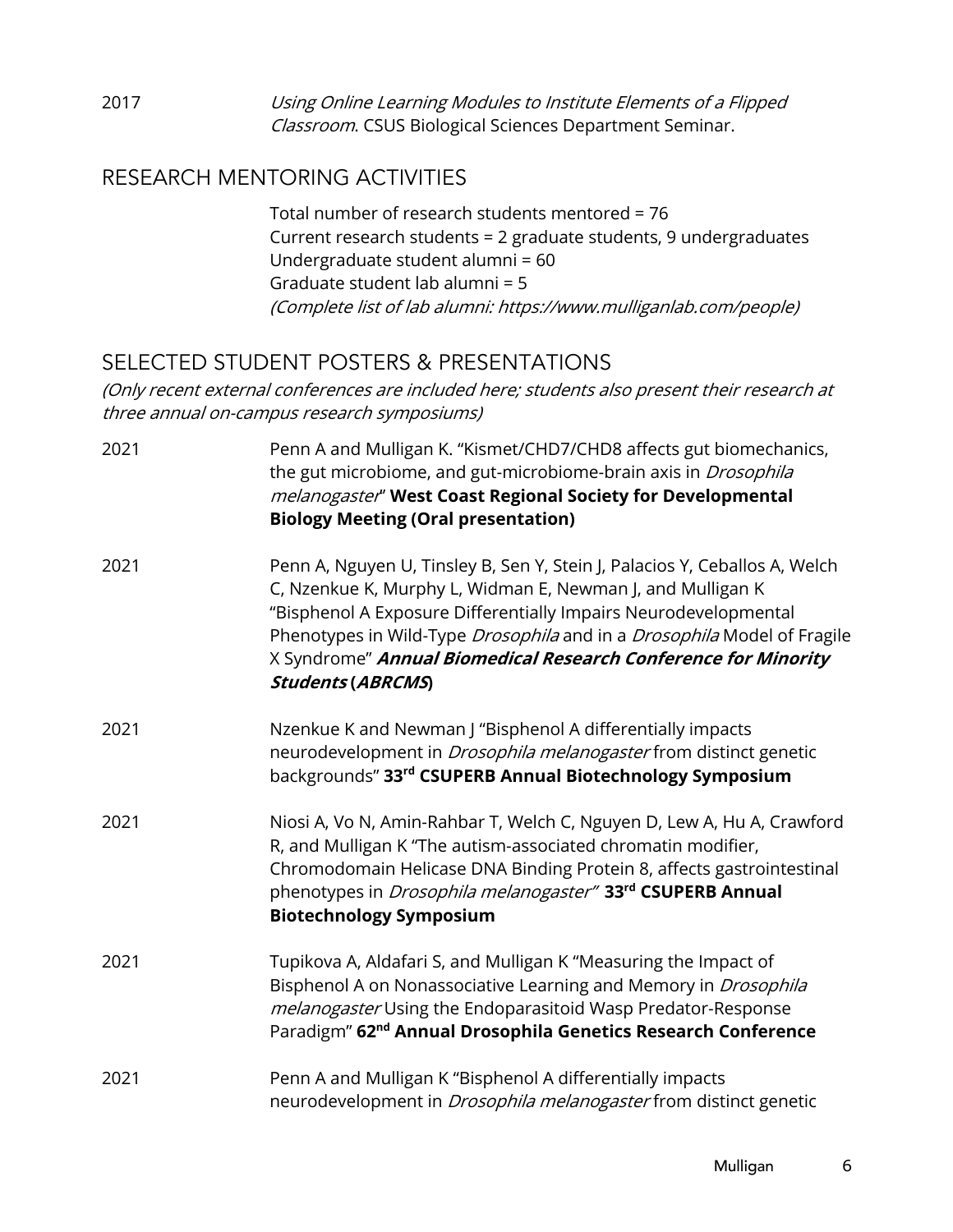2017 Using Online Learning Modules to Institute Elements of a Flipped Classroom. CSUS Biological Sciences Department Seminar.

## RESEARCH MENTORING ACTIVITIES

Total number of research students mentored = 76 Current research students = 2 graduate students, 9 undergraduates Undergraduate student alumni = 60 Graduate student lab alumni = 5 (Complete list of lab alumni: https://www.mulliganlab.com/people)

# SELECTED STUDENT POSTERS & PRESENTATIONS

(Only recent external conferences are included here; students also present their research at three annual on-campus research symposiums)

| 2021 | Penn A and Mulligan K. "Kismet/CHD7/CHD8 affects gut biomechanics,<br>the gut microbiome, and gut-microbiome-brain axis in Drosophila<br>melanogaster" West Coast Regional Society for Developmental<br><b>Biology Meeting (Oral presentation)</b>                                                                                                                                   |
|------|--------------------------------------------------------------------------------------------------------------------------------------------------------------------------------------------------------------------------------------------------------------------------------------------------------------------------------------------------------------------------------------|
| 2021 | Penn A, Nguyen U, Tinsley B, Sen Y, Stein J, Palacios Y, Ceballos A, Welch<br>C, Nzenkue K, Murphy L, Widman E, Newman J, and Mulligan K<br>"Bisphenol A Exposure Differentially Impairs Neurodevelopmental<br>Phenotypes in Wild-Type Drosophila and in a Drosophila Model of Fragile<br>X Syndrome" Annual Biomedical Research Conference for Minority<br><b>Students (ABRCMS)</b> |
| 2021 | Nzenkue K and Newman J "Bisphenol A differentially impacts<br>neurodevelopment in <i>Drosophila melanogaster</i> from distinct genetic<br>backgrounds" 33rd CSUPERB Annual Biotechnology Symposium                                                                                                                                                                                   |
| 2021 | Niosi A, Vo N, Amin-Rahbar T, Welch C, Nguyen D, Lew A, Hu A, Crawford<br>R, and Mulligan K "The autism-associated chromatin modifier,<br>Chromodomain Helicase DNA Binding Protein 8, affects gastrointestinal<br>phenotypes in <i>Drosophila melanogaster</i> " 33 <sup>rd</sup> CSUPERB Annual<br><b>Biotechnology Symposium</b>                                                  |
| 2021 | Tupikova A, Aldafari S, and Mulligan K "Measuring the Impact of<br>Bisphenol A on Nonassociative Learning and Memory in Drosophila<br>melanogaster Using the Endoparasitoid Wasp Predator-Response<br>Paradigm" 62 <sup>nd</sup> Annual Drosophila Genetics Research Conference                                                                                                      |
| 2021 | Penn A and Mulligan K "Bisphenol A differentially impacts<br>neurodevelopment in <i>Drosophila melanogaster</i> from distinct genetic                                                                                                                                                                                                                                                |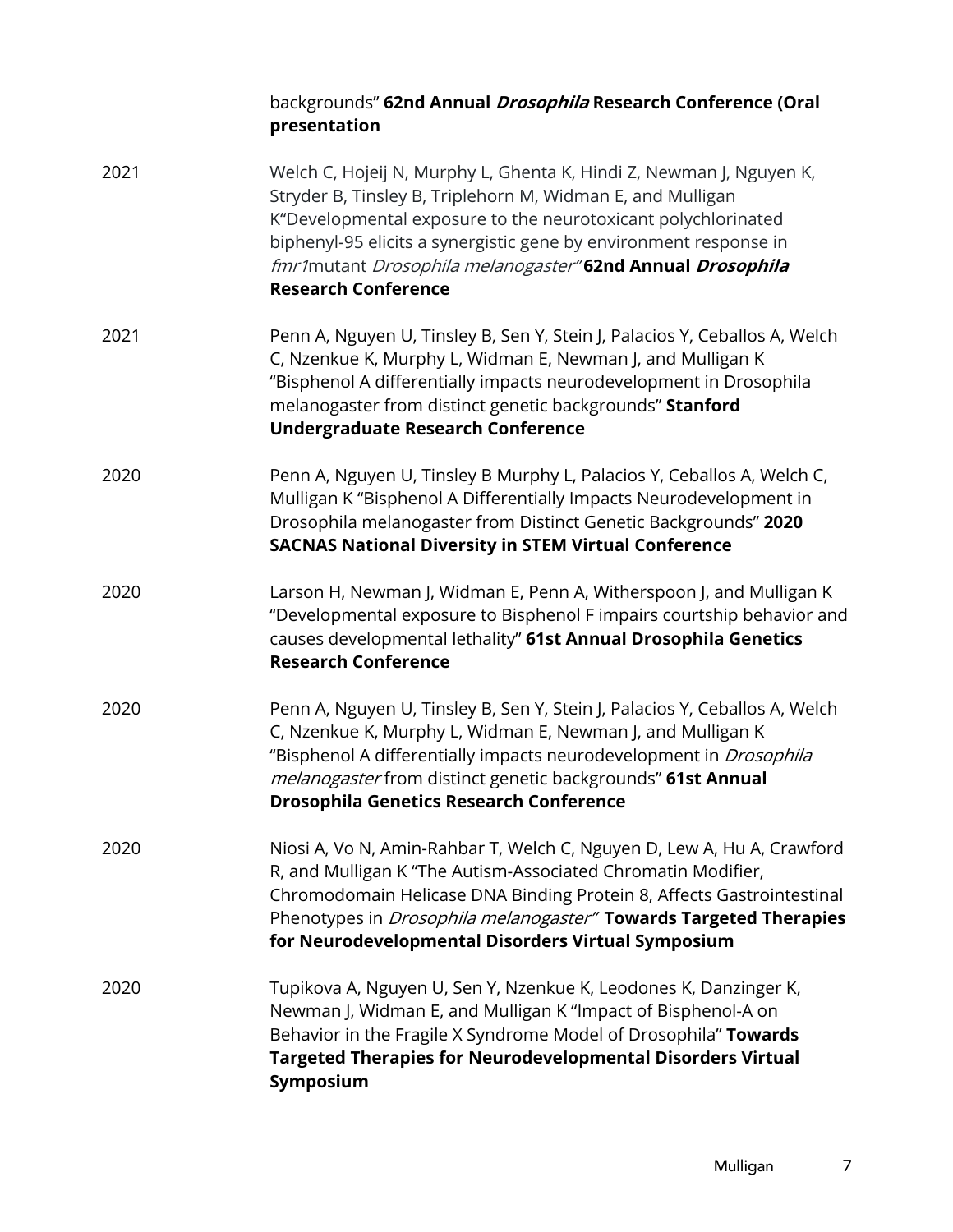|      | backgrounds" 62nd Annual Drosophila Research Conference (Oral<br>presentation                                                                                                                                                                                                                                                                                      |
|------|--------------------------------------------------------------------------------------------------------------------------------------------------------------------------------------------------------------------------------------------------------------------------------------------------------------------------------------------------------------------|
| 2021 | Welch C, Hojeij N, Murphy L, Ghenta K, Hindi Z, Newman J, Nguyen K,<br>Stryder B, Tinsley B, Triplehorn M, Widman E, and Mulligan<br>K"Developmental exposure to the neurotoxicant polychlorinated<br>biphenyl-95 elicits a synergistic gene by environment response in<br>fmr1mutant Drosophila melanogaster"62nd Annual Drosophila<br><b>Research Conference</b> |
| 2021 | Penn A, Nguyen U, Tinsley B, Sen Y, Stein J, Palacios Y, Ceballos A, Welch<br>C, Nzenkue K, Murphy L, Widman E, Newman J, and Mulligan K<br>"Bisphenol A differentially impacts neurodevelopment in Drosophila<br>melanogaster from distinct genetic backgrounds" Stanford<br><b>Undergraduate Research Conference</b>                                             |
| 2020 | Penn A, Nguyen U, Tinsley B Murphy L, Palacios Y, Ceballos A, Welch C,<br>Mulligan K "Bisphenol A Differentially Impacts Neurodevelopment in<br>Drosophila melanogaster from Distinct Genetic Backgrounds" 2020<br><b>SACNAS National Diversity in STEM Virtual Conference</b>                                                                                     |
| 2020 | Larson H, Newman J, Widman E, Penn A, Witherspoon J, and Mulligan K<br>"Developmental exposure to Bisphenol F impairs courtship behavior and<br>causes developmental lethality" 61st Annual Drosophila Genetics<br><b>Research Conference</b>                                                                                                                      |
| 2020 | Penn A, Nguyen U, Tinsley B, Sen Y, Stein J, Palacios Y, Ceballos A, Welch<br>C, Nzenkue K, Murphy L, Widman E, Newman J, and Mulligan K<br>"Bisphenol A differentially impacts neurodevelopment in Drosophila<br>melanogaster from distinct genetic backgrounds" 61st Annual<br><b>Drosophila Genetics Research Conference</b>                                    |
| 2020 | Niosi A, Vo N, Amin-Rahbar T, Welch C, Nguyen D, Lew A, Hu A, Crawford<br>R, and Mulligan K "The Autism-Associated Chromatin Modifier,<br>Chromodomain Helicase DNA Binding Protein 8, Affects Gastrointestinal<br>Phenotypes in <i>Drosophila melanogaster</i> " Towards Targeted Therapies<br>for Neurodevelopmental Disorders Virtual Symposium                 |
| 2020 | Tupikova A, Nguyen U, Sen Y, Nzenkue K, Leodones K, Danzinger K,<br>Newman J, Widman E, and Mulligan K "Impact of Bisphenol-A on<br>Behavior in the Fragile X Syndrome Model of Drosophila" Towards<br><b>Targeted Therapies for Neurodevelopmental Disorders Virtual</b><br>Symposium                                                                             |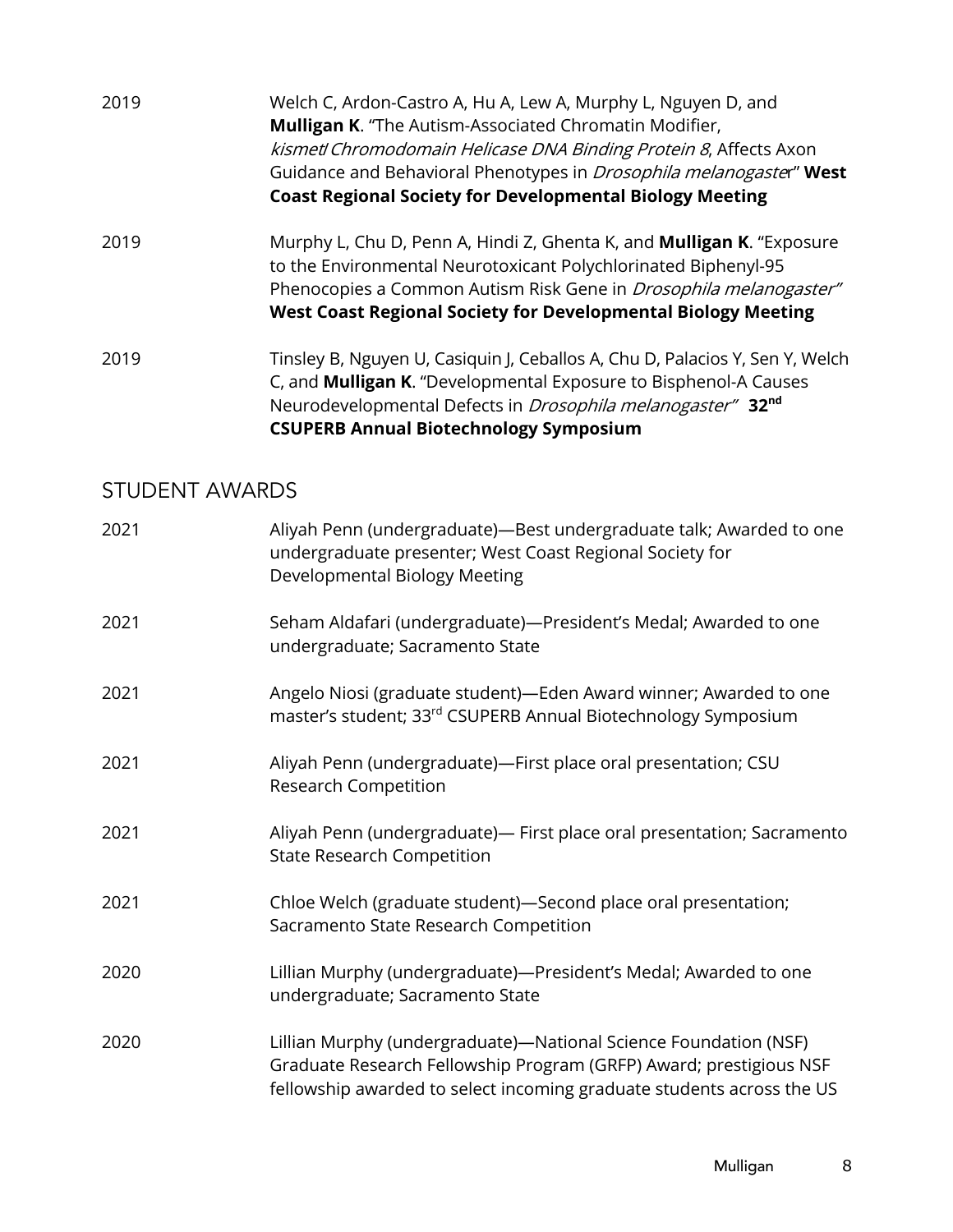- 2019 Welch C, Ardon-Castro A, Hu A, Lew A, Murphy L, Nguyen D, and **Mulligan K**. "The Autism-Associated Chromatin Modifier, kismet/Chromodomain Helicase DNA Binding Protein 8, Affects Axon Guidance and Behavioral Phenotypes in Drosophila melanogaster" **West Coast Regional Society for Developmental Biology Meeting**
- 2019 Murphy L, Chu D, Penn A, Hindi Z, Ghenta K, and **Mulligan K**. "Exposure to the Environmental Neurotoxicant Polychlorinated Biphenyl-95 Phenocopies a Common Autism Risk Gene in *Drosophila melanogaster"* **West Coast Regional Society for Developmental Biology Meeting**
- 2019 Tinsley B, Nguyen U, Casiquin J, Ceballos A, Chu D, Palacios Y, Sen Y, Welch C, and **Mulligan K**. "Developmental Exposure to Bisphenol-A Causes Neurodevelopmental Defects in Drosophila melanogaster" **32nd CSUPERB Annual Biotechnology Symposium**

#### STUDENT AWARDS

| 2021 | Aliyah Penn (undergraduate)-Best undergraduate talk; Awarded to one<br>undergraduate presenter; West Coast Regional Society for<br>Developmental Biology Meeting                                                |
|------|-----------------------------------------------------------------------------------------------------------------------------------------------------------------------------------------------------------------|
| 2021 | Seham Aldafari (undergraduate)—President's Medal; Awarded to one<br>undergraduate; Sacramento State                                                                                                             |
| 2021 | Angelo Niosi (graduate student)-Eden Award winner; Awarded to one<br>master's student; 33rd CSUPERB Annual Biotechnology Symposium                                                                              |
| 2021 | Aliyah Penn (undergraduate)-First place oral presentation; CSU<br>Research Competition                                                                                                                          |
| 2021 | Aliyah Penn (undergraduate)— First place oral presentation; Sacramento<br><b>State Research Competition</b>                                                                                                     |
| 2021 | Chloe Welch (graduate student)-Second place oral presentation;<br>Sacramento State Research Competition                                                                                                         |
| 2020 | Lillian Murphy (undergraduate)-President's Medal; Awarded to one<br>undergraduate; Sacramento State                                                                                                             |
| 2020 | Lillian Murphy (undergraduate)-National Science Foundation (NSF)<br>Graduate Research Fellowship Program (GRFP) Award; prestigious NSF<br>fellowship awarded to select incoming graduate students across the US |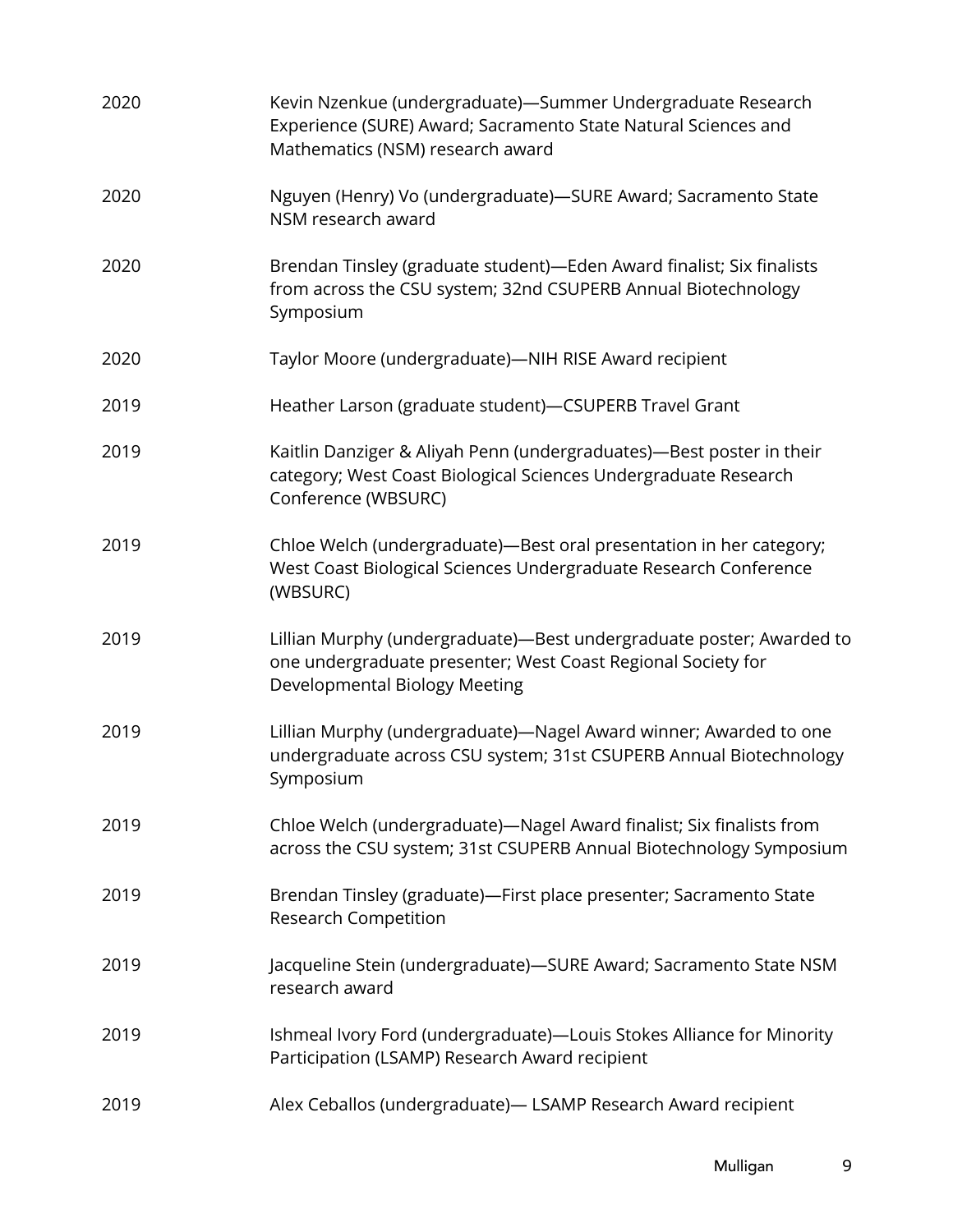| 2020 | Kevin Nzenkue (undergraduate)-Summer Undergraduate Research<br>Experience (SURE) Award; Sacramento State Natural Sciences and<br>Mathematics (NSM) research award     |
|------|-----------------------------------------------------------------------------------------------------------------------------------------------------------------------|
| 2020 | Nguyen (Henry) Vo (undergraduate)-SURE Award; Sacramento State<br>NSM research award                                                                                  |
| 2020 | Brendan Tinsley (graduate student)-Eden Award finalist; Six finalists<br>from across the CSU system; 32nd CSUPERB Annual Biotechnology<br>Symposium                   |
| 2020 | Taylor Moore (undergraduate)-NIH RISE Award recipient                                                                                                                 |
| 2019 | Heather Larson (graduate student)-CSUPERB Travel Grant                                                                                                                |
| 2019 | Kaitlin Danziger & Aliyah Penn (undergraduates)—Best poster in their<br>category; West Coast Biological Sciences Undergraduate Research<br>Conference (WBSURC)        |
| 2019 | Chloe Welch (undergraduate)-Best oral presentation in her category;<br>West Coast Biological Sciences Undergraduate Research Conference<br>(WBSURC)                   |
| 2019 | Lillian Murphy (undergraduate)-Best undergraduate poster; Awarded to<br>one undergraduate presenter; West Coast Regional Society for<br>Developmental Biology Meeting |
| 2019 | Lillian Murphy (undergraduate)-Nagel Award winner; Awarded to one<br>undergraduate across CSU system; 31st CSUPERB Annual Biotechnology<br>Symposium                  |
| 2019 | Chloe Welch (undergraduate)-Nagel Award finalist; Six finalists from<br>across the CSU system; 31st CSUPERB Annual Biotechnology Symposium                            |
| 2019 | Brendan Tinsley (graduate)-First place presenter; Sacramento State<br>Research Competition                                                                            |
| 2019 | Jacqueline Stein (undergraduate)-SURE Award; Sacramento State NSM<br>research award                                                                                   |
| 2019 | Ishmeal Ivory Ford (undergraduate)-Louis Stokes Alliance for Minority<br>Participation (LSAMP) Research Award recipient                                               |
| 2019 | Alex Ceballos (undergraduate) - LSAMP Research Award recipient                                                                                                        |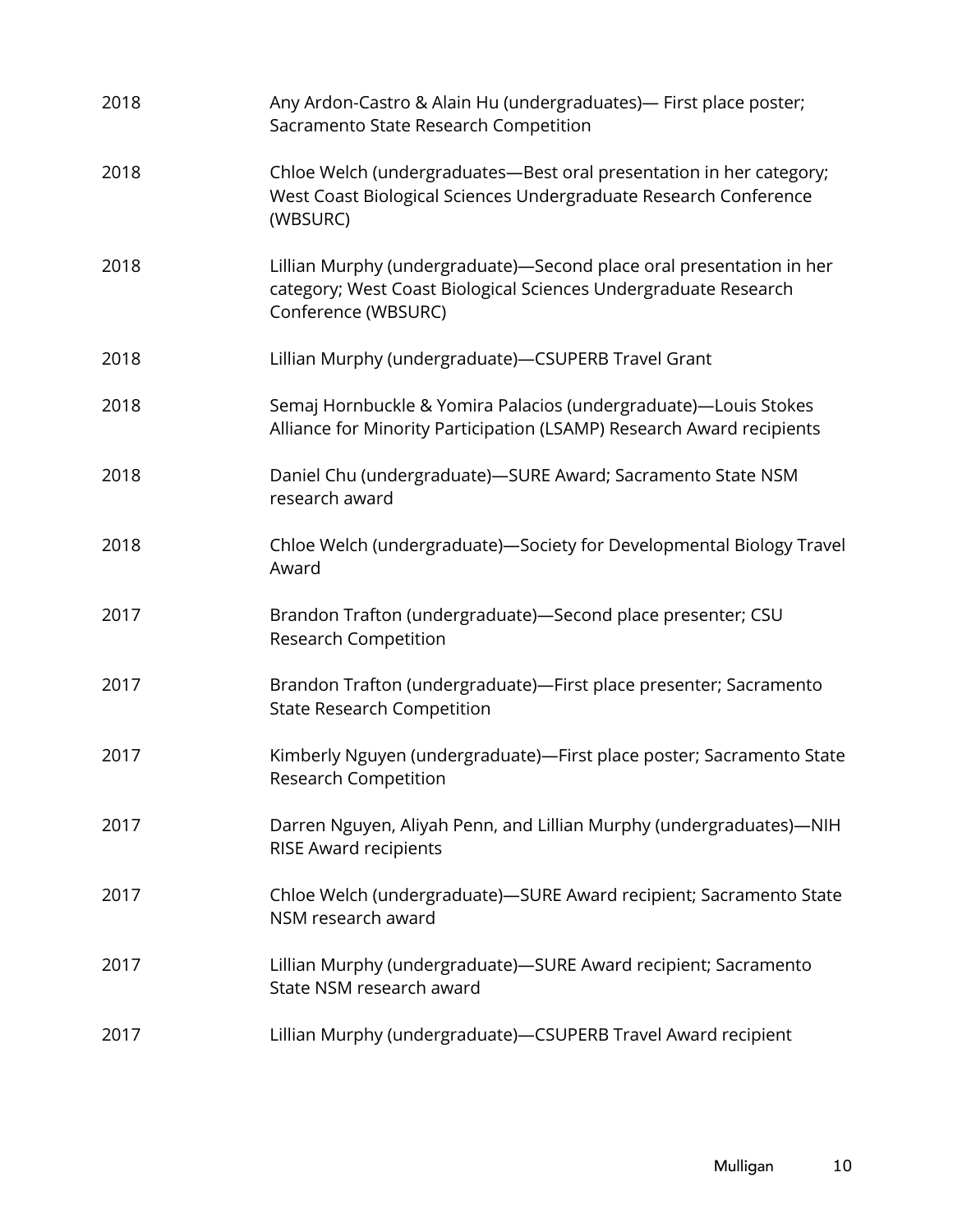| 2018 | Any Ardon-Castro & Alain Hu (undergraduates)— First place poster;<br>Sacramento State Research Competition                                                     |
|------|----------------------------------------------------------------------------------------------------------------------------------------------------------------|
| 2018 | Chloe Welch (undergraduates-Best oral presentation in her category;<br>West Coast Biological Sciences Undergraduate Research Conference<br>(WBSURC)            |
| 2018 | Lillian Murphy (undergraduate)-Second place oral presentation in her<br>category; West Coast Biological Sciences Undergraduate Research<br>Conference (WBSURC) |
| 2018 | Lillian Murphy (undergraduate)-CSUPERB Travel Grant                                                                                                            |
| 2018 | Semaj Hornbuckle & Yomira Palacios (undergraduate)—Louis Stokes<br>Alliance for Minority Participation (LSAMP) Research Award recipients                       |
| 2018 | Daniel Chu (undergraduate)-SURE Award; Sacramento State NSM<br>research award                                                                                  |
| 2018 | Chloe Welch (undergraduate)-Society for Developmental Biology Travel<br>Award                                                                                  |
| 2017 | Brandon Trafton (undergraduate)-Second place presenter; CSU<br>Research Competition                                                                            |
| 2017 | Brandon Trafton (undergraduate)-First place presenter; Sacramento<br><b>State Research Competition</b>                                                         |
| 2017 | Kimberly Nguyen (undergraduate)-First place poster; Sacramento State<br><b>Research Competition</b>                                                            |
| 2017 | Darren Nguyen, Aliyah Penn, and Lillian Murphy (undergraduates)-NIH<br><b>RISE Award recipients</b>                                                            |
| 2017 | Chloe Welch (undergraduate)-SURE Award recipient; Sacramento State<br>NSM research award                                                                       |
| 2017 | Lillian Murphy (undergraduate)-SURE Award recipient; Sacramento<br>State NSM research award                                                                    |
| 2017 | Lillian Murphy (undergraduate)-CSUPERB Travel Award recipient                                                                                                  |